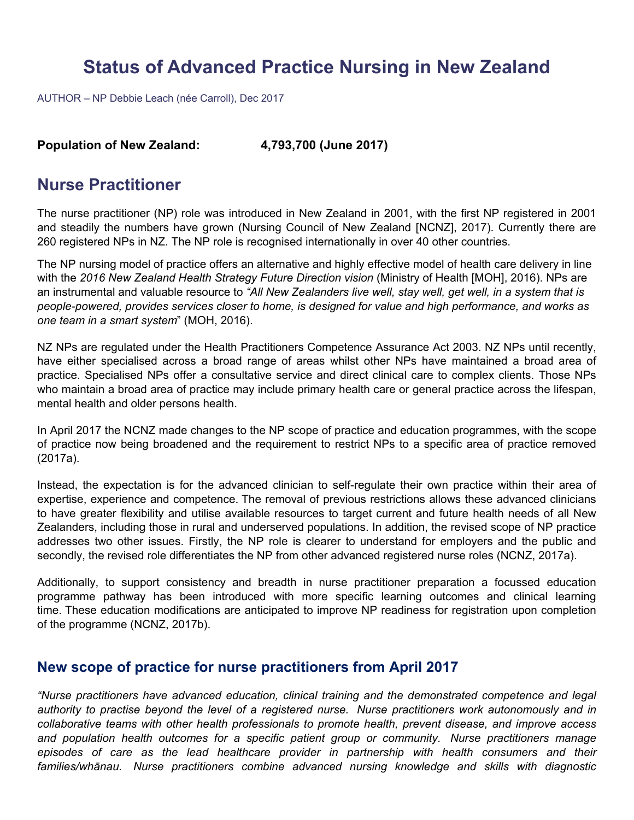# **Status of Advanced Practice Nursing in New Zealand**

AUTHOR – NP Debbie Leach (née Carroll), Dec 2017

#### **Population of New Zealand: 4,793,700 (June 2017)**

## **Nurse Practitioner**

The nurse practitioner (NP) role was introduced in New Zealand in 2001, with the first NP registered in 2001 and steadily the numbers have grown (Nursing Council of New Zealand [NCNZ], 2017). Currently there are 260 registered NPs in NZ. The NP role is recognised internationally in over 40 other countries.

The NP nursing model of practice offers an alternative and highly effective model of health care delivery in line with the 2016 New Zealand Health Strategy Future Direction vision (Ministry of Health [MOH], 2016). NPs are an instrumental and valuable resource to *"All New Zealanders live well, stay well, get well, in a system that is people-powered, provides services closer to home, is designed for value and high performance, and works as one team in a smart system*" (MOH, 2016).

NZ NPs are regulated under the Health Practitioners Competence Assurance Act 2003. NZ NPs until recently, have either specialised across a broad range of areas whilst other NPs have maintained a broad area of practice. Specialised NPs offer a consultative service and direct clinical care to complex clients. Those NPs who maintain a broad area of practice may include primary health care or general practice across the lifespan, mental health and older persons health.

In April 2017 the NCNZ made changes to the NP scope of practice and education programmes, with the scope of practice now being broadened and the requirement to restrict NPs to a specific area of practice removed (2017a).

Instead, the expectation is for the advanced clinician to self-regulate their own practice within their area of expertise, experience and competence. The removal of previous restrictions allows these advanced clinicians to have greater flexibility and utilise available resources to target current and future health needs of all New Zealanders, including those in rural and underserved populations. In addition, the revised scope of NP practice addresses two other issues. Firstly, the NP role is clearer to understand for employers and the public and secondly, the revised role differentiates the NP from other advanced registered nurse roles (NCNZ, 2017a).

Additionally, to support consistency and breadth in nurse practitioner preparation a focussed education programme pathway has been introduced with more specific learning outcomes and clinical learning time. These education modifications are anticipated to improve NP readiness for registration upon completion of the programme (NCNZ, 2017b).

### **New scope of practice for nurse practitioners from April 2017**

*"Nurse practitioners have advanced education, clinical training and the demonstrated competence and legal authority to practise beyond the level of a registered nurse. Nurse practitioners work autonomously and in collaborative teams with other health professionals to promote health, prevent disease, and improve access and population health outcomes for a specific patient group or community. Nurse practitioners manage episodes of care as the lead healthcare provider in partnership with health consumers and their families/whānau. Nurse practitioners combine advanced nursing knowledge and skills with diagnostic*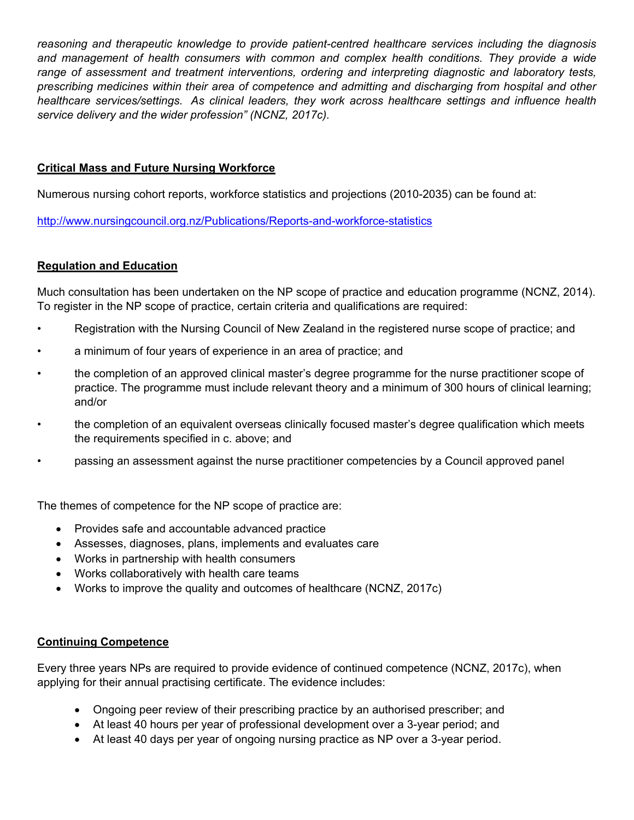*reasoning and therapeutic knowledge to provide patient-centred healthcare services including the diagnosis*  and management of health consumers with common and complex health conditions. They provide a wide *range of assessment and treatment interventions, ordering and interpreting diagnostic and laboratory tests, prescribing medicines within their area of competence and admitting and discharging from hospital and other healthcare services/settings. As clinical leaders, they work across healthcare settings and influence health service delivery and the wider profession" (NCNZ, 2017c).* 

#### **Critical Mass and Future Nursing Workforce**

Numerous nursing cohort reports, workforce statistics and projections (2010-2035) can be found at:

<http://www.nursingcouncil.org.nz/Publications/Reports-and-workforce-statistics>

#### **Regulation and Education**

Much consultation has been undertaken on the NP scope of practice and education programme (NCNZ, 2014). To register in the NP scope of practice, certain criteria and qualifications are required:

- Registration with the Nursing Council of New Zealand in the registered nurse scope of practice; and
- a minimum of four years of experience in an area of practice; and
- the completion of an approved clinical master's degree programme for the nurse practitioner scope of practice. The programme must include relevant theory and a minimum of 300 hours of clinical learning; and/or
- the completion of an equivalent overseas clinically focused master's degree qualification which meets the requirements specified in c. above; and
- passing an assessment against the nurse practitioner competencies by a Council approved panel

The themes of competence for the NP scope of practice are:

- Provides safe and accountable advanced practice
- Assesses, diagnoses, plans, implements and evaluates care
- Works in partnership with health consumers
- Works collaboratively with health care teams
- Works to improve the quality and outcomes of healthcare (NCNZ, 2017c)

#### **Continuing Competence**

Every three years NPs are required to provide evidence of continued competence (NCNZ, 2017c), when applying for their annual practising certificate. The evidence includes:

- Ongoing peer review of their prescribing practice by an authorised prescriber; and
- At least 40 hours per year of professional development over a 3-year period; and
- At least 40 days per year of ongoing nursing practice as NP over a 3-year period.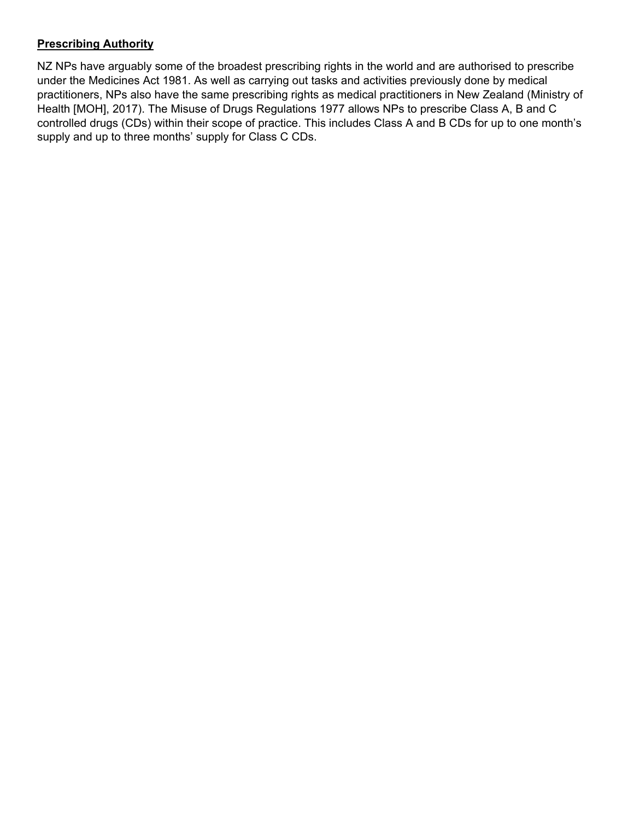#### **Prescribing Authority**

NZ NPs have arguably some of the broadest prescribing rights in the world and are authorised to prescribe under the Medicines Act 1981. As well as carrying out tasks and activities previously done by medical practitioners, NPs also have the same prescribing rights as medical practitioners in New Zealand (Ministry of Health [MOH], 2017). The Misuse of Drugs Regulations 1977 allows NPs to prescribe Class A, B and C controlled drugs (CDs) within their scope of practice. This includes Class A and B CDs for up to one month's supply and up to three months' supply for Class C CDs.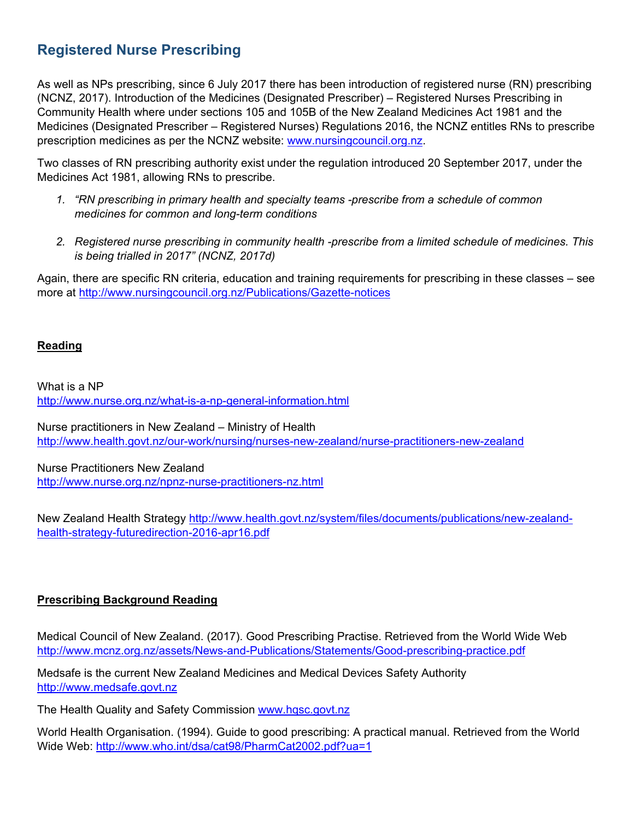# **Registered Nurse Prescribing**

As well as NPs prescribing, since 6 July 2017 there has been introduction of registered nurse (RN) prescribing (NCNZ, 2017). Introduction of the Medicines (Designated Prescriber) – Registered Nurses Prescribing in Community Health where under sections 105 and 105B of the New Zealand Medicines Act 1981 and the Medicines (Designated Prescriber – Registe[red Nurses\) Regulations 2016, the N](http://www.nursingcouncil.org.nz/)CNZ entitles RNs to prescribe prescription medicines as per the NCNZ website: www.nursingcouncil.org.nz.

Two classes of RN prescribing authority exist under the regulation introduced 20 September 2017, under the Medicines Act 1981, allowing RNs to prescribe.

- *1. "RN prescribing in primary health and specialty teams -prescribe from a schedule of common medicines for common and long-term conditions*
- *2. Registered nurse prescribing in community health -prescribe from a limited schedule of medicines. This is being trialled in 2017" (NCNZ, 2017d)*

Again, there are specific RN criteria, education and training requirements for prescribing in these classes – see mor[e at http://www.nursingcouncil.org.nz/Publications/Gazette-notices](http://www.nursingcouncil.org.nz/Publications/Gazette-notices)

#### **Reading**

What is a NP <http://www.nurse.org.nz/what-is-a-np-general-information.html>

Nurse practitioners in New Zealand – Ministry of Health <http://www.health.govt.nz/our-work/nursing/nurses-new-zealand/nurse-practitioners-new-zealand>

Nurse Practitioners New Zealand <http://www.nurse.org.nz/npnz-nurse-practitioners-nz.html>

[New Zealand Health Strategy http://www.health.govt.nz/system/files/documents/publications/new-zealand](http://www.health.govt.nz/system/files/documents/publications/new-zealand-health-strategy-futuredirection-2016-apr16.pdf)health-strategy-futuredirection-2016-apr16.pdf

#### **Prescribing Background Reading**

Medical Council of New Zealand. (2017). Good Prescribing Practise. Retrieved from the World Wide Web <http://www.mcnz.org.nz/assets/News-and-Publications/Statements/Good-prescribing-practice.pdf>

Medsafe is the current New Zealand Medicines and Medical Devices Safety Authority [http://www.medsafe.govt.nz](http://www.medsafe.govt.nz/)

The Health Quality and Safety Commissio[n www.hqsc.govt.nz](http://www.hqsc.govt.nz/)

World H[ealth Organisation. \(1994\). Guide to good prescribing: A prac](http://www.who.int/dsa/cat98/PharmCat2002.pdf?ua=1)tical manual. Retrieved from the World Wide Web: http://www.who.int/dsa/cat98/PharmCat2002.pdf?ua=1